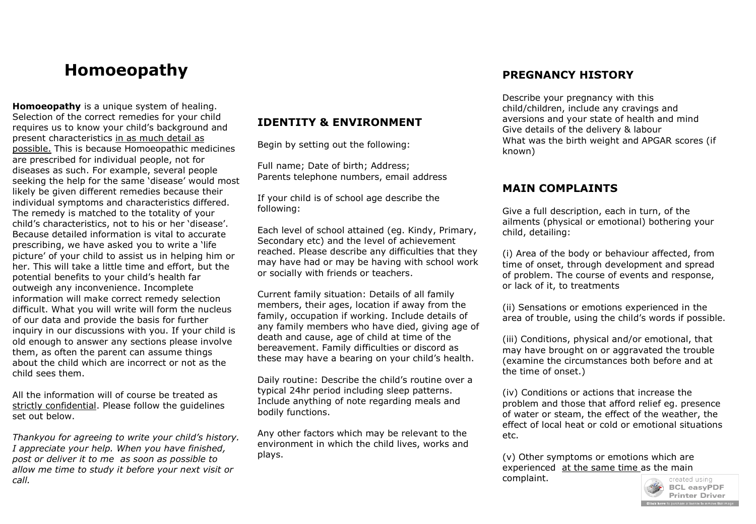# **Homoeopathy**

**Homoeopathy** is a unique system of healing. Selection of the correct remedies for your child requires us to know your child's background and present characteristics in as much detail as possible. This is because Homoeopathic medicines are prescribed for individual people, not for diseases as such. For example, several people seeking the help for the same 'disease' would most likely be given different remedies because their individual symptoms and characteristics differed. The remedy is matched to the totality of your child's characteristics, not to his or her 'disease'. Because detailed information is vital to accurate prescribing, we have asked you to write a 'life picture' of your child to assist us in helping him or her. This will take a little time and effort, but the potential benefits to your child's health far outweigh any inconvenience. Incomplete information will make correct remedy selection difficult. What you will write will form the nucleus of our data and provide the basis for further inquiry in our discussions with you. If your child is old enough to answer any sections please involve them, as often the parent can assume things about the child which are incorrect or not as the child sees them.

All the information will of course be treated as strictly confidential. Please follow the guidelines set out below.

*Thankyou for agreeing to write your child's history. I appreciate your help. When you have finished, post or deliver it to me as soon as possible to allow me time to study it before your next visit or call.*

### **IDENTITY & ENVIRONMENT**

Begin by setting out the following:

Full name; Date of birth; Address; Parents telephone numbers, email address

If your child is of school age describe the following:

Each level of school attained (eg. Kindy, Primary, Secondary etc) and the level of achievement reached. Please describe any difficulties that they may have had or may be having with school work or socially with friends or teachers.

Current family situation: Details of all family members, their ages, location if away from the family, occupation if working. Include details of any family members who have died, giving age of death and cause, age of child at time of the bereavement. Family difficulties or discord as these may have a bearing on your child's health.

Daily routine: Describe the child's routine over a typical 24hr period including sleep patterns. Include anything of note regarding meals and bodily functions.

Any other factors which may be relevant to the environment in which the child lives, works and plays.

### **PREGNANCY HISTORY**

Describe your pregnancy with this child/children, include any cravings and aversions and your state of health and mind Give details of the delivery & labour What was the birth weight and APGAR scores (if known)

#### **MAIN COMPLAINTS**

Give a full description, each in turn, of the ailments (physical or emotional) bothering your child, detailing:

(i) Area of the body or behaviour affected, from time of onset, through development and spread of problem. The course of events and response, or lack of it, to treatments

(ii) Sensations or emotions experienced in the area of trouble, using the child's words if possible.

(iii) Conditions, physical and/or emotional, that may have brought on or aggravated the trouble (examine the circumstances both before and at the time of onset.)

(iv) Conditions or actions that increase the problem and those that afford relief eg. presence of water or steam, the effect of the weather, the effect of local heat or cold or emotional situations etc.

(v) Other symptoms or emotions which are experienced at the same time as the main complaint.